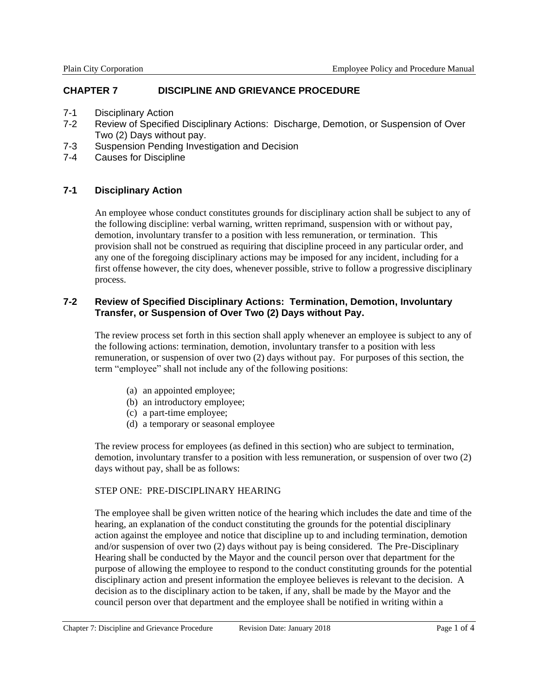# **CHAPTER 7 DISCIPLINE AND GRIEVANCE PROCEDURE**

- 7-1 Disciplinary Action
- 7-2 Review of Specified Disciplinary Actions: Discharge, Demotion, or Suspension of Over Two (2) Days without pay.
- 7-3 Suspension Pending Investigation and Decision
- 7-4 Causes for Discipline

## **7-1 Disciplinary Action**

An employee whose conduct constitutes grounds for disciplinary action shall be subject to any of the following discipline: verbal warning, written reprimand, suspension with or without pay, demotion, involuntary transfer to a position with less remuneration, or termination. This provision shall not be construed as requiring that discipline proceed in any particular order, and any one of the foregoing disciplinary actions may be imposed for any incident, including for a first offense however, the city does, whenever possible, strive to follow a progressive disciplinary process.

## **7-2 Review of Specified Disciplinary Actions: Termination, Demotion, Involuntary Transfer, or Suspension of Over Two (2) Days without Pay.**

The review process set forth in this section shall apply whenever an employee is subject to any of the following actions: termination, demotion, involuntary transfer to a position with less remuneration, or suspension of over two (2) days without pay. For purposes of this section, the term "employee" shall not include any of the following positions:

- (a) an appointed employee;
- (b) an introductory employee;
- (c) a part-time employee;
- (d) a temporary or seasonal employee

The review process for employees (as defined in this section) who are subject to termination, demotion, involuntary transfer to a position with less remuneration, or suspension of over two (2) days without pay, shall be as follows:

#### STEP ONE: PRE-DISCIPLINARY HEARING

The employee shall be given written notice of the hearing which includes the date and time of the hearing, an explanation of the conduct constituting the grounds for the potential disciplinary action against the employee and notice that discipline up to and including termination, demotion and/or suspension of over two (2) days without pay is being considered. The Pre-Disciplinary Hearing shall be conducted by the Mayor and the council person over that department for the purpose of allowing the employee to respond to the conduct constituting grounds for the potential disciplinary action and present information the employee believes is relevant to the decision. A decision as to the disciplinary action to be taken, if any, shall be made by the Mayor and the council person over that department and the employee shall be notified in writing within a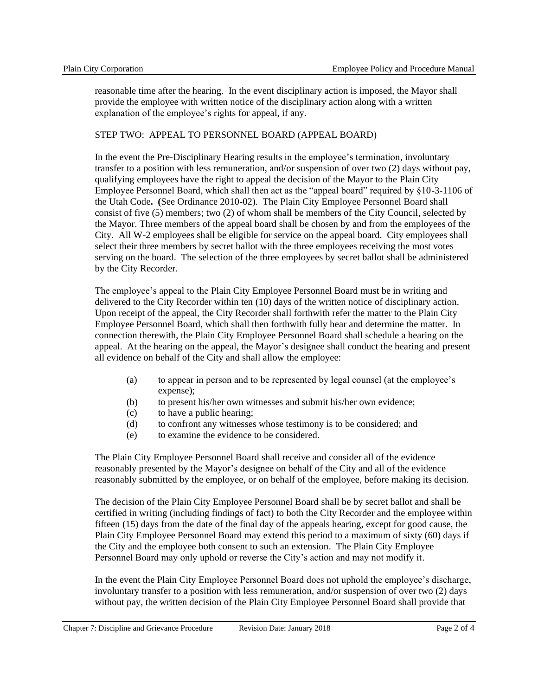reasonable time after the hearing. In the event disciplinary action is imposed, the Mayor shall provide the employee with written notice of the disciplinary action along with a written explanation of the employee's rights for appeal, if any.

### STEP TWO: APPEAL TO PERSONNEL BOARD (APPEAL BOARD)

In the event the Pre-Disciplinary Hearing results in the employee's termination, involuntary transfer to a position with less remuneration, and/or suspension of over two (2) days without pay, qualifying employees have the right to appeal the decision of the Mayor to the Plain City Employee Personnel Board, which shall then act as the "appeal board" required by §10-3-1106 of the Utah Code**. (**See Ordinance 2010-02). The Plain City Employee Personnel Board shall consist of five (5) members; two (2) of whom shall be members of the City Council, selected by the Mayor. Three members of the appeal board shall be chosen by and from the employees of the City. All W-2 employees shall be eligible for service on the appeal board. City employees shall select their three members by secret ballot with the three employees receiving the most votes serving on the board. The selection of the three employees by secret ballot shall be administered by the City Recorder.

The employee's appeal to the Plain City Employee Personnel Board must be in writing and delivered to the City Recorder within ten (10) days of the written notice of disciplinary action. Upon receipt of the appeal, the City Recorder shall forthwith refer the matter to the Plain City Employee Personnel Board, which shall then forthwith fully hear and determine the matter. In connection therewith, the Plain City Employee Personnel Board shall schedule a hearing on the appeal. At the hearing on the appeal, the Mayor's designee shall conduct the hearing and present all evidence on behalf of the City and shall allow the employee:

- (a) to appear in person and to be represented by legal counsel (at the employee's expense);
- (b) to present his/her own witnesses and submit his/her own evidence;
- (c) to have a public hearing;
- (d) to confront any witnesses whose testimony is to be considered; and
- (e) to examine the evidence to be considered.

The Plain City Employee Personnel Board shall receive and consider all of the evidence reasonably presented by the Mayor's designee on behalf of the City and all of the evidence reasonably submitted by the employee, or on behalf of the employee, before making its decision.

The decision of the Plain City Employee Personnel Board shall be by secret ballot and shall be certified in writing (including findings of fact) to both the City Recorder and the employee within fifteen (15) days from the date of the final day of the appeals hearing, except for good cause, the Plain City Employee Personnel Board may extend this period to a maximum of sixty (60) days if the City and the employee both consent to such an extension. The Plain City Employee Personnel Board may only uphold or reverse the City's action and may not modify it.

In the event the Plain City Employee Personnel Board does not uphold the employee's discharge, involuntary transfer to a position with less remuneration, and/or suspension of over two (2) days without pay, the written decision of the Plain City Employee Personnel Board shall provide that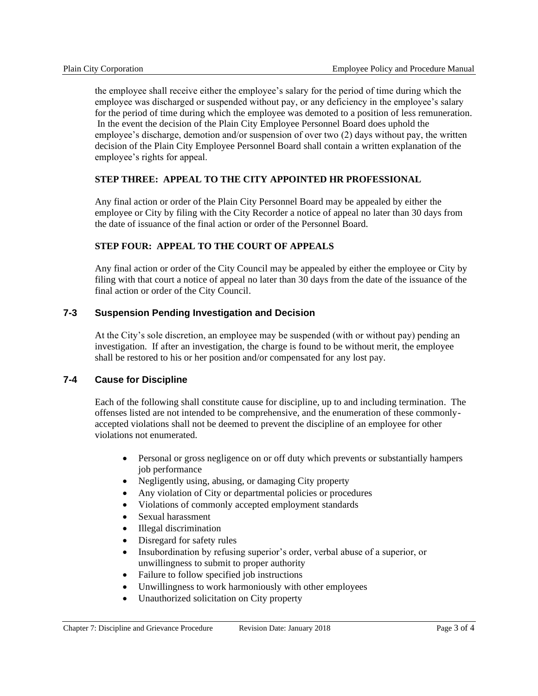the employee shall receive either the employee's salary for the period of time during which the employee was discharged or suspended without pay, or any deficiency in the employee's salary for the period of time during which the employee was demoted to a position of less remuneration. In the event the decision of the Plain City Employee Personnel Board does uphold the employee's discharge, demotion and/or suspension of over two (2) days without pay, the written decision of the Plain City Employee Personnel Board shall contain a written explanation of the employee's rights for appeal.

## **STEP THREE: APPEAL TO THE CITY APPOINTED HR PROFESSIONAL**

Any final action or order of the Plain City Personnel Board may be appealed by either the employee or City by filing with the City Recorder a notice of appeal no later than 30 days from the date of issuance of the final action or order of the Personnel Board.

### **STEP FOUR: APPEAL TO THE COURT OF APPEALS**

Any final action or order of the City Council may be appealed by either the employee or City by filing with that court a notice of appeal no later than 30 days from the date of the issuance of the final action or order of the City Council.

### **7-3 Suspension Pending Investigation and Decision**

At the City's sole discretion, an employee may be suspended (with or without pay) pending an investigation. If after an investigation, the charge is found to be without merit, the employee shall be restored to his or her position and/or compensated for any lost pay.

## **7-4 Cause for Discipline**

Each of the following shall constitute cause for discipline, up to and including termination. The offenses listed are not intended to be comprehensive, and the enumeration of these commonlyaccepted violations shall not be deemed to prevent the discipline of an employee for other violations not enumerated.

- Personal or gross negligence on or off duty which prevents or substantially hampers job performance
- Negligently using, abusing, or damaging City property
- Any violation of City or departmental policies or procedures
- Violations of commonly accepted employment standards
- Sexual harassment
- Illegal discrimination
- Disregard for safety rules
- Insubordination by refusing superior's order, verbal abuse of a superior, or unwillingness to submit to proper authority
- Failure to follow specified job instructions
- Unwillingness to work harmoniously with other employees
- Unauthorized solicitation on City property